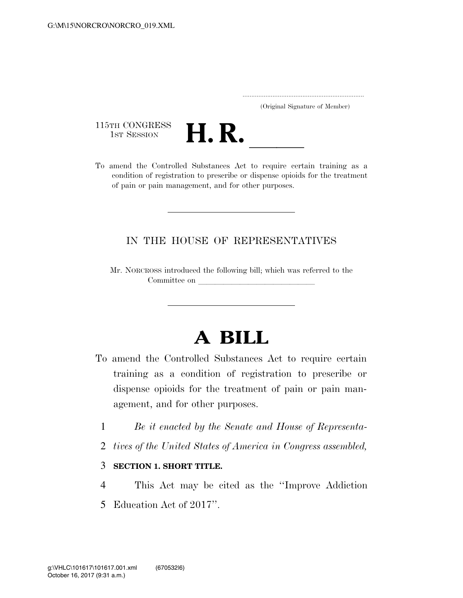..................................................................... (Original Signature of Member)

115TH CONGRESS<br>1st Session



115TH CONGRESS<br>
1ST SESSION<br>
To amend the Controlled Substances Act to require certain training as a condition of registration to prescribe or dispense opioids for the treatment of pain or pain management, and for other purposes.

## IN THE HOUSE OF REPRESENTATIVES

Mr. NORCROSS introduced the following bill; which was referred to the Committee on

## **A BILL**

- To amend the Controlled Substances Act to require certain training as a condition of registration to prescribe or dispense opioids for the treatment of pain or pain management, and for other purposes.
	- 1 *Be it enacted by the Senate and House of Representa-*
	- 2 *tives of the United States of America in Congress assembled,*

## 3 **SECTION 1. SHORT TITLE.**

4 This Act may be cited as the ''Improve Addiction 5 Education Act of 2017''.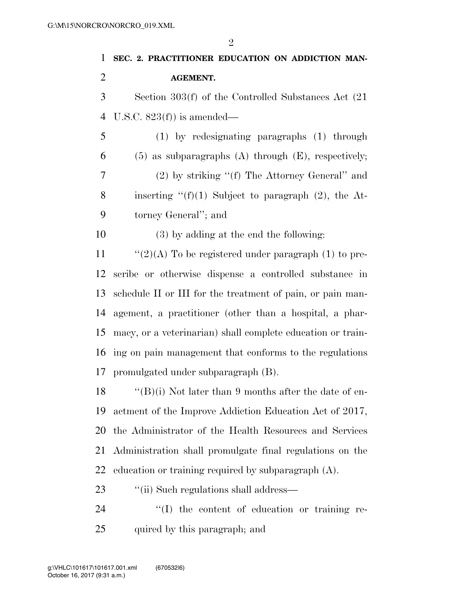| $\mathbf{1}$   | SEC. 2. PRACTITIONER EDUCATION ON ADDICTION MAN-            |
|----------------|-------------------------------------------------------------|
| $\overline{2}$ | <b>AGEMENT.</b>                                             |
| 3              | Section $303(f)$ of the Controlled Substances Act $(21)$    |
| $\overline{4}$ | U.S.C. $823(f)$ is amended—                                 |
| 5              | $(1)$ by redesignating paragraphs $(1)$ through             |
| 6              | $(5)$ as subparagraphs $(A)$ through $(E)$ , respectively;  |
| 7              | $(2)$ by striking " $(f)$ The Attorney General" and         |
| 8              | inserting " $(f)(1)$ Subject to paragraph (2), the At-      |
| 9              | torney General"; and                                        |
| 10             | (3) by adding at the end the following:                     |
| 11             | " $(2)(A)$ To be registered under paragraph (1) to pre-     |
| 12             | scribe or otherwise dispense a controlled substance in      |
| 13             | schedule II or III for the treatment of pain, or pain man-  |
| 14             | agement, a practitioner (other than a hospital, a phar-     |
| 15             | macy, or a veterinarian) shall complete education or train- |
| 16             | ing on pain management that conforms to the regulations     |
| 17             | promulgated under subparagraph (B).                         |
| 18             | "(B)(i) Not later than 9 months after the date of en-       |
| 19             | actment of the Improve Addiction Education Act of 2017,     |
| 20             | the Administrator of the Health Resources and Services      |
| 21             | Administration shall promulgate final regulations on the    |
| 22             | education or training required by subparagraph $(A)$ .      |
| 23             | "(ii) Such regulations shall address—                       |

24  $\hspace{1cm}$  "(I) the content of education or training re-quired by this paragraph; and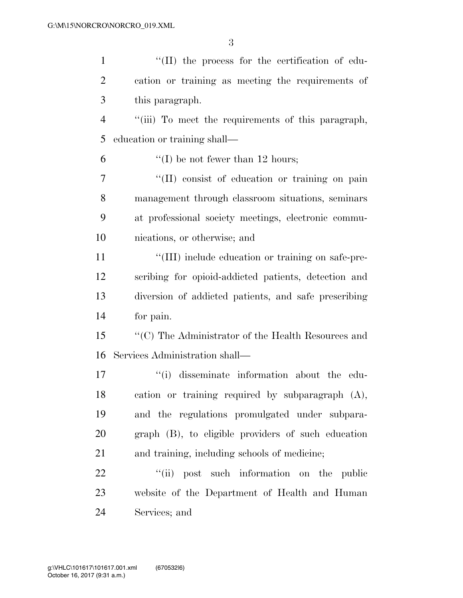| $\mathbf{1}$   | $\lq\lq$ (II) the process for the certification of edu-    |
|----------------|------------------------------------------------------------|
| $\overline{2}$ | cation or training as meeting the requirements of          |
| 3              | this paragraph.                                            |
| $\overline{4}$ | "(iii) To meet the requirements of this paragraph,         |
| 5              | education or training shall—                               |
| 6              | $\lq\lq$ be not fewer than 12 hours;                       |
| 7              | "(II) consist of education or training on pain             |
| 8              | management through classroom situations, seminars          |
| 9              | at professional society meetings, electronic commu-        |
| 10             | nications, or otherwise; and                               |
| 11             | "(III) include education or training on safe-pre-          |
| 12             | scribing for opioid-addicted patients, detection and       |
| 13             | diversion of addicted patients, and safe prescribing       |
| 14             | for pain.                                                  |
| 15             | $\lq\lq (C)$ The Administrator of the Health Resources and |
| 16             | Services Administration shall—                             |
| 17             | "(i) disseminate information about the edu-                |
| 18             | cation or training required by subparagraph (A),           |
| 19             | and the regulations promulgated under subpara-             |
| 20             | graph (B), to eligible providers of such education         |
| 21             | and training, including schools of medicine;               |
| 22             | "(ii) post such information on the public                  |
| 23             | website of the Department of Health and Human              |
| 24             | Services; and                                              |